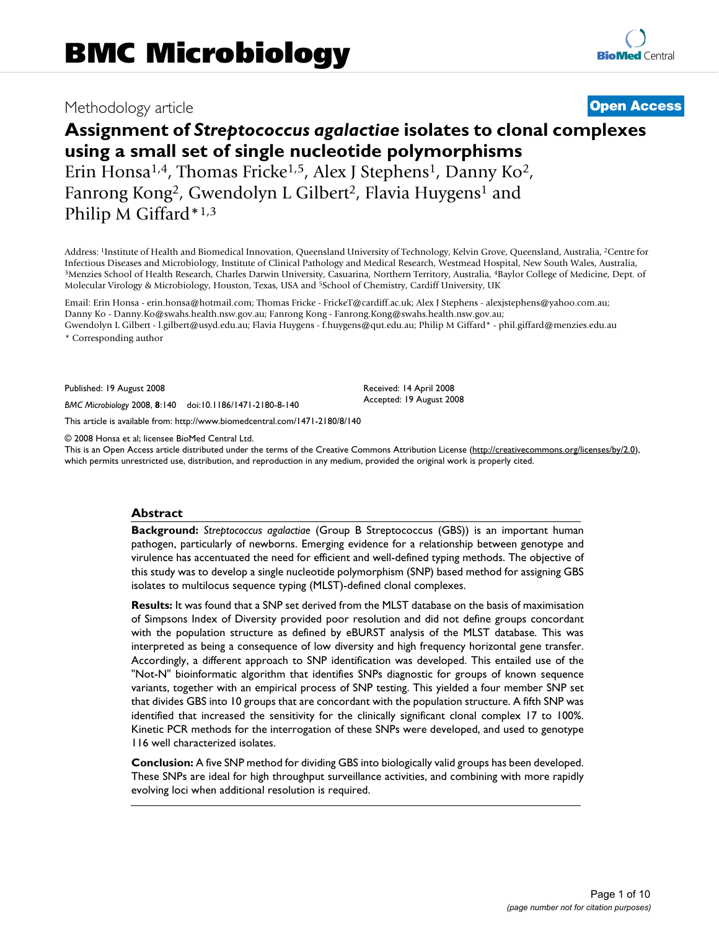## Methodology article **[Open Access](http://www.biomedcentral.com/info/about/charter/)**

# **Assignment of** *Streptococcus agalactiae* **isolates to clonal complexes using a small set of single nucleotide polymorphisms** Erin Honsa<sup>1,4</sup>, Thomas Fricke<sup>1,5</sup>, Alex J Stephens<sup>1</sup>, Danny Ko<sup>2</sup>, Fanrong Kong<sup>2</sup>, Gwendolyn L Gilbert<sup>2</sup>, Flavia Huygens<sup>1</sup> and Philip M Giffard\*1,3

Address: <sup>1</sup>Institute of Health and Biomedical Innovation, Queensland University of Technology, Kelvin Grove, Queensland, Australia, <sup>2</sup>Centre for<br>Infectious Diseases and Microbiology, Institute of Clinical Pathology and M <sup>3</sup>Menzies School of Health Research, Charles Darwin University, Casuarina, Northern Territory, Australia, <sup>4</sup>Baylor College of Medicine, Dept. of Molecular Virology & Microbiology, Houston, Texas, USA and 5School of Chemistry, Cardiff University, UK

Email: Erin Honsa - erin.honsa@hotmail.com; Thomas Fricke - FrickeT@cardiff.ac.uk; Alex J Stephens - alexjstephens@yahoo.com.au; Danny Ko - Danny.Ko@swahs.health.nsw.gov.au; Fanrong Kong - Fanrong.Kong@swahs.health.nsw.gov.au; Gwendolyn L Gilbert - l.gilbert@usyd.edu.au; Flavia Huygens - f.huygens@qut.edu.au; Philip M Giffard\* - phil.giffard@menzies.edu.au

\* Corresponding author

Published: 19 August 2008

*BMC Microbiology* 2008, **8**:140 doi:10.1186/1471-2180-8-140

[This article is available from: http://www.biomedcentral.com/1471-2180/8/140](http://www.biomedcentral.com/1471-2180/8/140)

© 2008 Honsa et al; licensee BioMed Central Ltd.

This is an Open Access article distributed under the terms of the Creative Commons Attribution License [\(http://creativecommons.org/licenses/by/2.0\)](http://creativecommons.org/licenses/by/2.0), which permits unrestricted use, distribution, and reproduction in any medium, provided the original work is properly cited.

Received: 14 April 2008 Accepted: 19 August 2008

#### **Abstract**

**Background:** *Streptococcus agalactiae* (Group B Streptococcus (GBS)) is an important human pathogen, particularly of newborns. Emerging evidence for a relationship between genotype and virulence has accentuated the need for efficient and well-defined typing methods. The objective of this study was to develop a single nucleotide polymorphism (SNP) based method for assigning GBS isolates to multilocus sequence typing (MLST)-defined clonal complexes.

**Results:** It was found that a SNP set derived from the MLST database on the basis of maximisation of Simpsons Index of Diversity provided poor resolution and did not define groups concordant with the population structure as defined by eBURST analysis of the MLST database. This was interpreted as being a consequence of low diversity and high frequency horizontal gene transfer. Accordingly, a different approach to SNP identification was developed. This entailed use of the "Not-N" bioinformatic algorithm that identifies SNPs diagnostic for groups of known sequence variants, together with an empirical process of SNP testing. This yielded a four member SNP set that divides GBS into 10 groups that are concordant with the population structure. A fifth SNP was identified that increased the sensitivity for the clinically significant clonal complex 17 to 100%. Kinetic PCR methods for the interrogation of these SNPs were developed, and used to genotype 116 well characterized isolates.

**Conclusion:** A five SNP method for dividing GBS into biologically valid groups has been developed. These SNPs are ideal for high throughput surveillance activities, and combining with more rapidly evolving loci when additional resolution is required.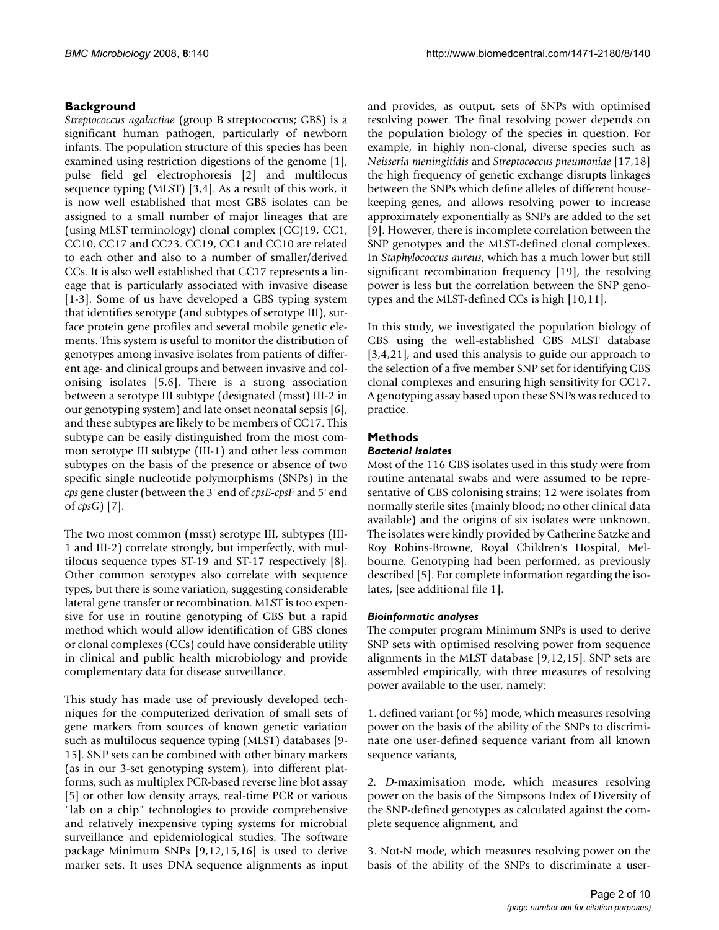## **Background**

*Streptococcus agalactiae* (group B streptococcus; GBS) is a significant human pathogen, particularly of newborn infants. The population structure of this species has been examined using restriction digestions of the genome [1], pulse field gel electrophoresis [2] and multilocus sequence typing (MLST) [3,4]. As a result of this work, it is now well established that most GBS isolates can be assigned to a small number of major lineages that are (using MLST terminology) clonal complex (CC)19, CC1, CC10, CC17 and CC23. CC19, CC1 and CC10 are related to each other and also to a number of smaller/derived CCs. It is also well established that CC17 represents a lineage that is particularly associated with invasive disease [1-3]. Some of us have developed a GBS typing system that identifies serotype (and subtypes of serotype III), surface protein gene profiles and several mobile genetic elements. This system is useful to monitor the distribution of genotypes among invasive isolates from patients of different age- and clinical groups and between invasive and colonising isolates [5,6]. There is a strong association between a serotype III subtype (designated (msst) III-2 in our genotyping system) and late onset neonatal sepsis [6], and these subtypes are likely to be members of CC17. This subtype can be easily distinguished from the most common serotype III subtype (III-1) and other less common subtypes on the basis of the presence or absence of two specific single nucleotide polymorphisms (SNPs) in the *cps* gene cluster (between the 3' end of *cpsE-cpsF* and 5' end of *cpsG*) [7].

The two most common (msst) serotype III, subtypes (III-1 and III-2) correlate strongly, but imperfectly, with multilocus sequence types ST-19 and ST-17 respectively [8]. Other common serotypes also correlate with sequence types, but there is some variation, suggesting considerable lateral gene transfer or recombination. MLST is too expensive for use in routine genotyping of GBS but a rapid method which would allow identification of GBS clones or clonal complexes (CCs) could have considerable utility in clinical and public health microbiology and provide complementary data for disease surveillance.

This study has made use of previously developed techniques for the computerized derivation of small sets of gene markers from sources of known genetic variation such as multilocus sequence typing (MLST) databases [9- 15]. SNP sets can be combined with other binary markers (as in our 3-set genotyping system), into different platforms, such as multiplex PCR-based reverse line blot assay [5] or other low density arrays, real-time PCR or various "lab on a chip" technologies to provide comprehensive and relatively inexpensive typing systems for microbial surveillance and epidemiological studies. The software package Minimum SNPs [9,12,15,16] is used to derive marker sets. It uses DNA sequence alignments as input and provides, as output, sets of SNPs with optimised resolving power. The final resolving power depends on the population biology of the species in question. For example, in highly non-clonal, diverse species such as *Neisseria meningitidis* and *Streptococcus pneumoniae* [17,18] the high frequency of genetic exchange disrupts linkages between the SNPs which define alleles of different housekeeping genes, and allows resolving power to increase approximately exponentially as SNPs are added to the set [9]. However, there is incomplete correlation between the SNP genotypes and the MLST-defined clonal complexes. In *Staphylococcus aureus*, which has a much lower but still significant recombination frequency [19], the resolving power is less but the correlation between the SNP genotypes and the MLST-defined CCs is high [10,11].

In this study, we investigated the population biology of GBS using the well-established GBS MLST database [3,4,21], and used this analysis to guide our approach to the selection of a five member SNP set for identifying GBS clonal complexes and ensuring high sensitivity for CC17. A genotyping assay based upon these SNPs was reduced to practice.

## **Methods**

#### *Bacterial Isolates*

Most of the 116 GBS isolates used in this study were from routine antenatal swabs and were assumed to be representative of GBS colonising strains; 12 were isolates from normally sterile sites (mainly blood; no other clinical data available) and the origins of six isolates were unknown. The isolates were kindly provided by Catherine Satzke and Roy Robins-Browne, Royal Children's Hospital, Melbourne. Genotyping had been performed, as previously described [5]. For complete information regarding the isolates, [see additional file 1].

## *Bioinformatic analyses*

The computer program Minimum SNPs is used to derive SNP sets with optimised resolving power from sequence alignments in the MLST database [9,12,15]. SNP sets are assembled empirically, with three measures of resolving power available to the user, namely:

1. defined variant (or %) mode, which measures resolving power on the basis of the ability of the SNPs to discriminate one user-defined sequence variant from all known sequence variants,

*2. D-*maximisation mode, which measures resolving power on the basis of the Simpsons Index of Diversity of the SNP-defined genotypes as calculated against the complete sequence alignment, and

3. Not-N mode, which measures resolving power on the basis of the ability of the SNPs to discriminate a user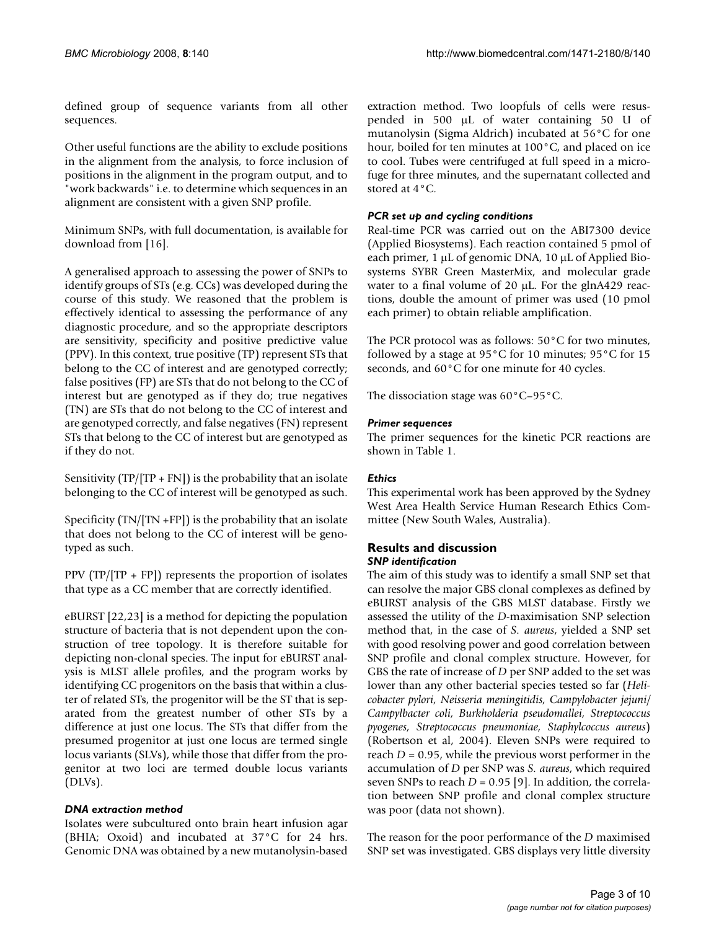defined group of sequence variants from all other sequences.

Other useful functions are the ability to exclude positions in the alignment from the analysis, to force inclusion of positions in the alignment in the program output, and to "work backwards" i.e. to determine which sequences in an alignment are consistent with a given SNP profile.

Minimum SNPs, with full documentation, is available for download from [16].

A generalised approach to assessing the power of SNPs to identify groups of STs (e.g. CCs) was developed during the course of this study. We reasoned that the problem is effectively identical to assessing the performance of any diagnostic procedure, and so the appropriate descriptors are sensitivity, specificity and positive predictive value (PPV). In this context, true positive (TP) represent STs that belong to the CC of interest and are genotyped correctly; false positives (FP) are STs that do not belong to the CC of interest but are genotyped as if they do; true negatives (TN) are STs that do not belong to the CC of interest and are genotyped correctly, and false negatives (FN) represent STs that belong to the CC of interest but are genotyped as if they do not.

Sensitivity  $(TP/[TP + FN])$  is the probability that an isolate belonging to the CC of interest will be genotyped as such.

Specificity (TN/[TN +FP]) is the probability that an isolate that does not belong to the CC of interest will be genotyped as such.

PPV (TP/[TP + FP]) represents the proportion of isolates that type as a CC member that are correctly identified.

eBURST [22,23] is a method for depicting the population structure of bacteria that is not dependent upon the construction of tree topology. It is therefore suitable for depicting non-clonal species. The input for eBURST analysis is MLST allele profiles, and the program works by identifying CC progenitors on the basis that within a cluster of related STs, the progenitor will be the ST that is separated from the greatest number of other STs by a difference at just one locus. The STs that differ from the presumed progenitor at just one locus are termed single locus variants (SLVs), while those that differ from the progenitor at two loci are termed double locus variants (DLVs).

#### *DNA extraction method*

Isolates were subcultured onto brain heart infusion agar (BHIA; Oxoid) and incubated at 37°C for 24 hrs. Genomic DNA was obtained by a new mutanolysin-based extraction method. Two loopfuls of cells were resuspended in 500 μL of water containing 50 U of mutanolysin (Sigma Aldrich) incubated at 56°C for one hour, boiled for ten minutes at 100°C, and placed on ice to cool. Tubes were centrifuged at full speed in a microfuge for three minutes, and the supernatant collected and stored at 4°C.

### *PCR set up and cycling conditions*

Real-time PCR was carried out on the ABI7300 device (Applied Biosystems). Each reaction contained 5 pmol of each primer, 1 μL of genomic DNA, 10 μL of Applied Biosystems SYBR Green MasterMix, and molecular grade water to a final volume of 20 μL. For the glnA429 reactions, double the amount of primer was used (10 pmol each primer) to obtain reliable amplification.

The PCR protocol was as follows: 50°C for two minutes, followed by a stage at 95°C for 10 minutes; 95°C for 15 seconds, and 60°C for one minute for 40 cycles.

The dissociation stage was 60°C–95°C.

#### *Primer sequences*

The primer sequences for the kinetic PCR reactions are shown in Table 1.

#### *Ethics*

This experimental work has been approved by the Sydney West Area Health Service Human Research Ethics Committee (New South Wales, Australia).

#### **Results and discussion** *SNP identification*

The aim of this study was to identify a small SNP set that can resolve the major GBS clonal complexes as defined by eBURST analysis of the GBS MLST database. Firstly we assessed the utility of the *D-*maximisation SNP selection method that, in the case of *S. aureus*, yielded a SNP set with good resolving power and good correlation between SNP profile and clonal complex structure. However, for GBS the rate of increase of *D* per SNP added to the set was lower than any other bacterial species tested so far (*Helicobacter pylori, Neisseria meningitidis, Campylobacter jejuni/ Campylbacter coli, Burkholderia pseudomallei, Streptococcus pyogenes, Streptococcus pneumoniae, Staphylcoccus aureus*) (Robertson et al, 2004). Eleven SNPs were required to reach *D* = 0.95, while the previous worst performer in the accumulation of *D* per SNP was *S. aureus*, which required seven SNPs to reach  $D = 0.95$  [9]. In addition, the correlation between SNP profile and clonal complex structure was poor (data not shown).

The reason for the poor performance of the *D* maximised SNP set was investigated. GBS displays very little diversity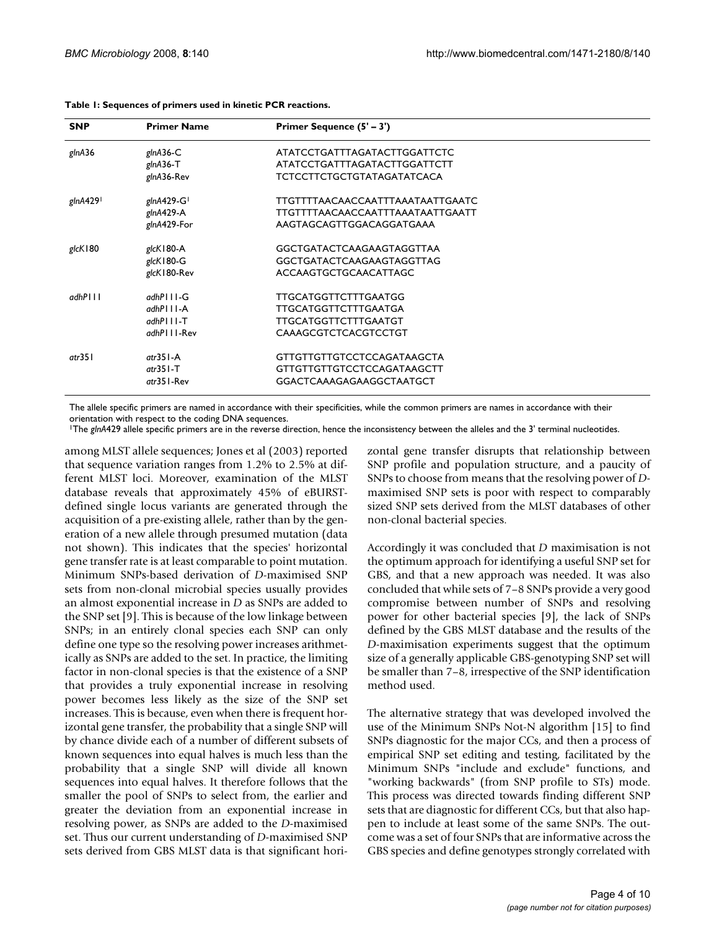| <b>SNP</b> | <b>Primer Name</b> | Primer Sequence (5' – 3')               |
|------------|--------------------|-----------------------------------------|
| glnA36     | gln $A36-C$        | ATATCCTGATTTAGATACTTGGATTCTC            |
|            | $g$ InA36-T        | ATATCCTGATTTAGATACTTGGATTCTT            |
|            | glnA36-Rev         | <b>TCTCCTTCTGCTGTATAGATATCACA</b>       |
| glnA429    | glnA429-G          | TTGTTTTAACAACCAATTTAAATAATTGAATC        |
|            | glnA429-A          | <b>TTGTTTTAACAACCAATTTAAATAATTGAATT</b> |
|            | glnA429-For        | AAGTAGCAGTTGGACAGGATGAAA                |
| glcK180    | glcK180-A          | <b>GGCTGATACTCAAGAAGTAGGTTAA</b>        |
|            | glcK180-G          | <b>GGCTGATACTCAAGAAGTAGGTTAG</b>        |
|            | glcK180-Rev        | ACCAAGTGCTGCAACATTAGC                   |
| adhP111    | adhP111-G          | <b>TTGCATGGTTCTTTGAATGG</b>             |
|            | adhP111-A          | <b>TTGCATGGTTCTTTGAATGA</b>             |
|            | $adhPIII-T$        | <b>TTGCATGGTTCTTTGAATGT</b>             |
|            | adhPIII-Rev        | <b>CAAAGCGTCTCACGTCCTGT</b>             |
| atr35 l    | $atr351-A$         | GTTGTTGTTGTCCTCCAGATAAGCTA              |
|            | $atr351-T$         | GTTGTTGTTGTCCTCCAGATAAGCTT              |
|            | atr351-Rev         | GGACTCAAAGAGAAGGCTAATGCT                |

#### **Table 1: Sequences of primers used in kinetic PCR reactions.**

The allele specific primers are named in accordance with their specificities, while the common primers are names in accordance with their orientation with respect to the coding DNA sequences.

<sup>1</sup>The glnA429 allele specific primers are in the reverse direction, hence the inconsistency between the alleles and the 3' terminal nucleotides.

among MLST allele sequences; Jones et al (2003) reported that sequence variation ranges from 1.2% to 2.5% at different MLST loci. Moreover, examination of the MLST database reveals that approximately 45% of eBURSTdefined single locus variants are generated through the acquisition of a pre-existing allele, rather than by the generation of a new allele through presumed mutation (data not shown). This indicates that the species' horizontal gene transfer rate is at least comparable to point mutation. Minimum SNPs-based derivation of *D*-maximised SNP sets from non-clonal microbial species usually provides an almost exponential increase in *D* as SNPs are added to the SNP set [9]. This is because of the low linkage between SNPs; in an entirely clonal species each SNP can only define one type so the resolving power increases arithmetically as SNPs are added to the set. In practice, the limiting factor in non-clonal species is that the existence of a SNP that provides a truly exponential increase in resolving power becomes less likely as the size of the SNP set increases. This is because, even when there is frequent horizontal gene transfer, the probability that a single SNP will by chance divide each of a number of different subsets of known sequences into equal halves is much less than the probability that a single SNP will divide all known sequences into equal halves. It therefore follows that the smaller the pool of SNPs to select from, the earlier and greater the deviation from an exponential increase in resolving power, as SNPs are added to the *D-*maximised set. Thus our current understanding of *D-*maximised SNP sets derived from GBS MLST data is that significant horizontal gene transfer disrupts that relationship between SNP profile and population structure, and a paucity of SNPs to choose from means that the resolving power of *D*maximised SNP sets is poor with respect to comparably sized SNP sets derived from the MLST databases of other non-clonal bacterial species.

Accordingly it was concluded that *D* maximisation is not the optimum approach for identifying a useful SNP set for GBS, and that a new approach was needed. It was also concluded that while sets of 7–8 SNPs provide a very good compromise between number of SNPs and resolving power for other bacterial species [9], the lack of SNPs defined by the GBS MLST database and the results of the *D-*maximisation experiments suggest that the optimum size of a generally applicable GBS-genotyping SNP set will be smaller than 7–8, irrespective of the SNP identification method used.

The alternative strategy that was developed involved the use of the Minimum SNPs Not-N algorithm [15] to find SNPs diagnostic for the major CCs, and then a process of empirical SNP set editing and testing, facilitated by the Minimum SNPs "include and exclude" functions, and "working backwards" (from SNP profile to STs) mode. This process was directed towards finding different SNP sets that are diagnostic for different CCs, but that also happen to include at least some of the same SNPs. The outcome was a set of four SNPs that are informative across the GBS species and define genotypes strongly correlated with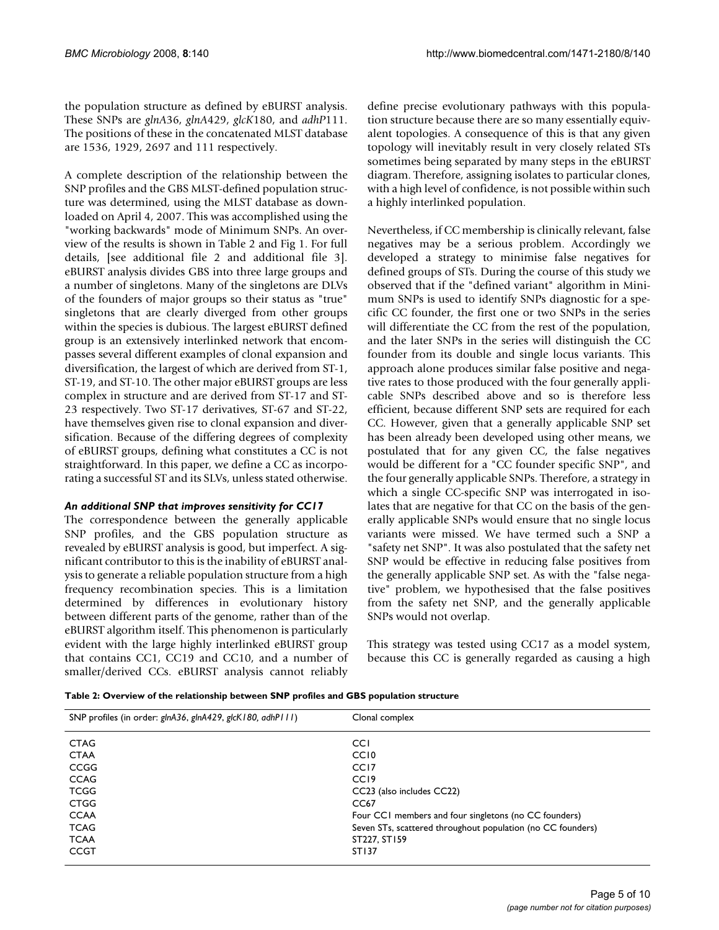the population structure as defined by eBURST analysis. These SNPs are *glnA*36, *glnA*429, *glcK*180, and *adhP*111. The positions of these in the concatenated MLST database are 1536, 1929, 2697 and 111 respectively.

A complete description of the relationship between the SNP profiles and the GBS MLST-defined population structure was determined, using the MLST database as downloaded on April 4, 2007. This was accomplished using the "working backwards" mode of Minimum SNPs. An overview of the results is shown in Table 2 and Fig 1. For full details, [see additional file 2 and additional file 3]. eBURST analysis divides GBS into three large groups and a number of singletons. Many of the singletons are DLVs of the founders of major groups so their status as "true" singletons that are clearly diverged from other groups within the species is dubious. The largest eBURST defined group is an extensively interlinked network that encompasses several different examples of clonal expansion and diversification, the largest of which are derived from ST-1, ST-19, and ST-10. The other major eBURST groups are less complex in structure and are derived from ST-17 and ST-23 respectively. Two ST-17 derivatives, ST-67 and ST-22, have themselves given rise to clonal expansion and diversification. Because of the differing degrees of complexity of eBURST groups, defining what constitutes a CC is not straightforward. In this paper, we define a CC as incorporating a successful ST and its SLVs, unless stated otherwise.

#### *An additional SNP that improves sensitivity for CC17*

The correspondence between the generally applicable SNP profiles, and the GBS population structure as revealed by eBURST analysis is good, but imperfect. A significant contributor to this is the inability of eBURST analysis to generate a reliable population structure from a high frequency recombination species. This is a limitation determined by differences in evolutionary history between different parts of the genome, rather than of the eBURST algorithm itself. This phenomenon is particularly evident with the large highly interlinked eBURST group that contains CC1, CC19 and CC10, and a number of smaller/derived CCs. eBURST analysis cannot reliably

define precise evolutionary pathways with this population structure because there are so many essentially equivalent topologies. A consequence of this is that any given topology will inevitably result in very closely related STs sometimes being separated by many steps in the eBURST diagram. Therefore, assigning isolates to particular clones, with a high level of confidence, is not possible within such a highly interlinked population.

Nevertheless, if CC membership is clinically relevant, false negatives may be a serious problem. Accordingly we developed a strategy to minimise false negatives for defined groups of STs. During the course of this study we observed that if the "defined variant" algorithm in Minimum SNPs is used to identify SNPs diagnostic for a specific CC founder, the first one or two SNPs in the series will differentiate the CC from the rest of the population, and the later SNPs in the series will distinguish the CC founder from its double and single locus variants. This approach alone produces similar false positive and negative rates to those produced with the four generally applicable SNPs described above and so is therefore less efficient, because different SNP sets are required for each CC. However, given that a generally applicable SNP set has been already been developed using other means, we postulated that for any given CC, the false negatives would be different for a "CC founder specific SNP", and the four generally applicable SNPs. Therefore, a strategy in which a single CC-specific SNP was interrogated in isolates that are negative for that CC on the basis of the generally applicable SNPs would ensure that no single locus variants were missed. We have termed such a SNP a "safety net SNP". It was also postulated that the safety net SNP would be effective in reducing false positives from the generally applicable SNP set. As with the "false negative" problem, we hypothesised that the false positives from the safety net SNP, and the generally applicable SNPs would not overlap.

This strategy was tested using CC17 as a model system, because this CC is generally regarded as causing a high

| Table 2: Overview of the relationship between SNP profiles and GBS population structure |  |  |
|-----------------------------------------------------------------------------------------|--|--|
|                                                                                         |  |  |

| SNP profiles (in order: glnA36, glnA429, glcK180, adhP111) | Clonal complex                                              |
|------------------------------------------------------------|-------------------------------------------------------------|
| <b>CTAG</b>                                                | <b>CCI</b>                                                  |
| <b>CTAA</b>                                                | CC <sub>10</sub>                                            |
| CCGG                                                       | CC <sub>17</sub>                                            |
| <b>CCAG</b>                                                | CC <sub>19</sub>                                            |
| TCGG                                                       | CC23 (also includes CC22)                                   |
| <b>CTGG</b>                                                | CC67                                                        |
| <b>CCAA</b>                                                | Four CCI members and four singletons (no CC founders)       |
| <b>TCAG</b>                                                | Seven STs, scattered throughout population (no CC founders) |
| <b>TCAA</b>                                                | ST227, ST159                                                |
| <b>CCGT</b>                                                | ST137                                                       |
|                                                            |                                                             |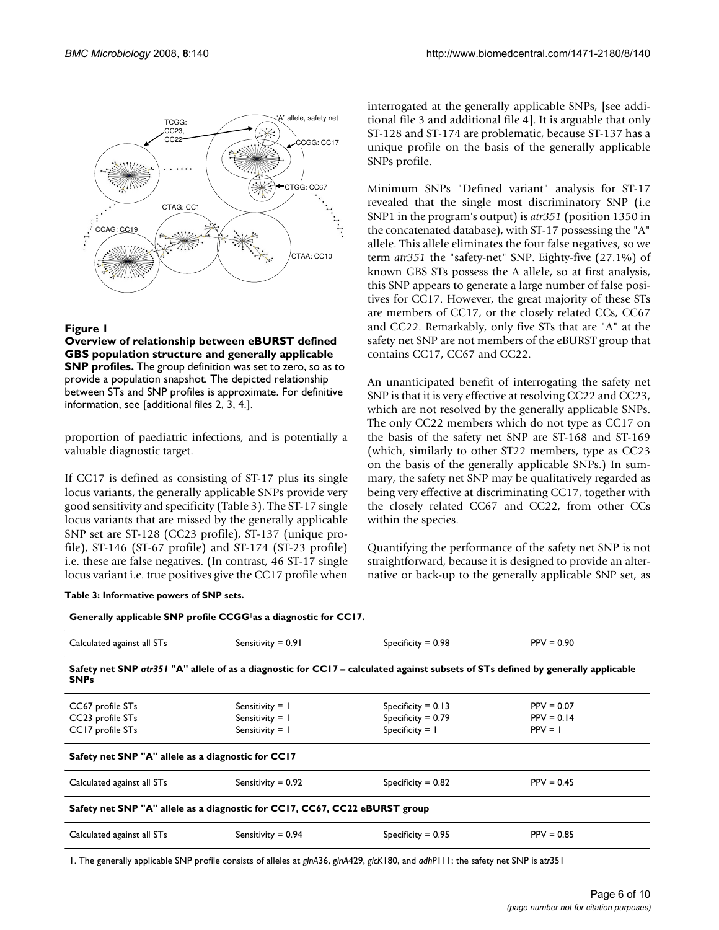

#### Figure 1

**Overview of relationship between eBURST defined GBS population structure and generally applicable SNP profiles.** The group definition was set to zero, so as to provide a population snapshot. The depicted relationship between STs and SNP profiles is approximate. For definitive information, see [additional files 2, 3, 4.].

proportion of paediatric infections, and is potentially a valuable diagnostic target.

If CC17 is defined as consisting of ST-17 plus its single locus variants, the generally applicable SNPs provide very good sensitivity and specificity (Table 3). The ST-17 single locus variants that are missed by the generally applicable SNP set are ST-128 (CC23 profile), ST-137 (unique profile), ST-146 (ST-67 profile) and ST-174 (ST-23 profile) i.e. these are false negatives. (In contrast, 46 ST-17 single locus variant i.e. true positives give the CC17 profile when

**Table 3: Informative powers of SNP sets.**

interrogated at the generally applicable SNPs, [see additional file 3 and additional file 4]. It is arguable that only ST-128 and ST-174 are problematic, because ST-137 has a unique profile on the basis of the generally applicable SNPs profile.

Minimum SNPs "Defined variant" analysis for ST-17 revealed that the single most discriminatory SNP (i.e SNP1 in the program's output) is *atr351* (position 1350 in the concatenated database), with ST-17 possessing the "A" allele. This allele eliminates the four false negatives, so we term *atr351* the "safety-net" SNP. Eighty-five (27.1%) of known GBS STs possess the A allele, so at first analysis, this SNP appears to generate a large number of false positives for CC17. However, the great majority of these STs are members of CC17, or the closely related CCs, CC67 and CC22. Remarkably, only five STs that are "A" at the safety net SNP are not members of the eBURST group that contains CC17, CC67 and CC22.

An unanticipated benefit of interrogating the safety net SNP is that it is very effective at resolving CC22 and CC23, which are not resolved by the generally applicable SNPs. The only CC22 members which do not type as CC17 on the basis of the safety net SNP are ST-168 and ST-169 (which, similarly to other ST22 members, type as CC23 on the basis of the generally applicable SNPs.) In summary, the safety net SNP may be qualitatively regarded as being very effective at discriminating CC17, together with the closely related CC67 and CC22, from other CCs within the species.

Quantifying the performance of the safety net SNP is not straightforward, because it is designed to provide an alternative or back-up to the generally applicable SNP set, as

| Generally applicable SNP profile CCGG as a diagnostic for CC17.                                                                                 |                      |                      |              |  |  |  |
|-------------------------------------------------------------------------------------------------------------------------------------------------|----------------------|----------------------|--------------|--|--|--|
| Calculated against all STs                                                                                                                      | Sensitivity $= 0.91$ | Specificity = $0.98$ | $PPV = 0.90$ |  |  |  |
| Safety net SNP atr351 "A" allele of as a diagnostic for CC17 – calculated against subsets of STs defined by generally applicable<br><b>SNPs</b> |                      |                      |              |  |  |  |
| CC67 profile STs                                                                                                                                | Sensitivity $= 1$    | Specificity = $0.13$ | $PPV = 0.07$ |  |  |  |
| CC23 profile STs                                                                                                                                | Sensitivity $=$ 1    | Specificity = $0.79$ | $PPV = 0.14$ |  |  |  |
| CC17 profile STs                                                                                                                                | Sensitivity $=$ 1    | Specificity $= 1$    | $PPV = I$    |  |  |  |
| Safety net SNP "A" allele as a diagnostic for CC17                                                                                              |                      |                      |              |  |  |  |
| Calculated against all STs                                                                                                                      | Sensitivity = $0.92$ | $Specificity = 0.82$ | $PPV = 0.45$ |  |  |  |
| Safety net SNP "A" allele as a diagnostic for CC17, CC67, CC22 eBURST group                                                                     |                      |                      |              |  |  |  |
| Calculated against all STs                                                                                                                      | Sensitivity = $0.94$ | Specificity = $0.95$ | $PPV = 0.85$ |  |  |  |

1. The generally applicable SNP profile consists of alleles at *glnA*36, *glnA*429, *glcK*180, and *adhP*111; the safety net SNP is a*tr*351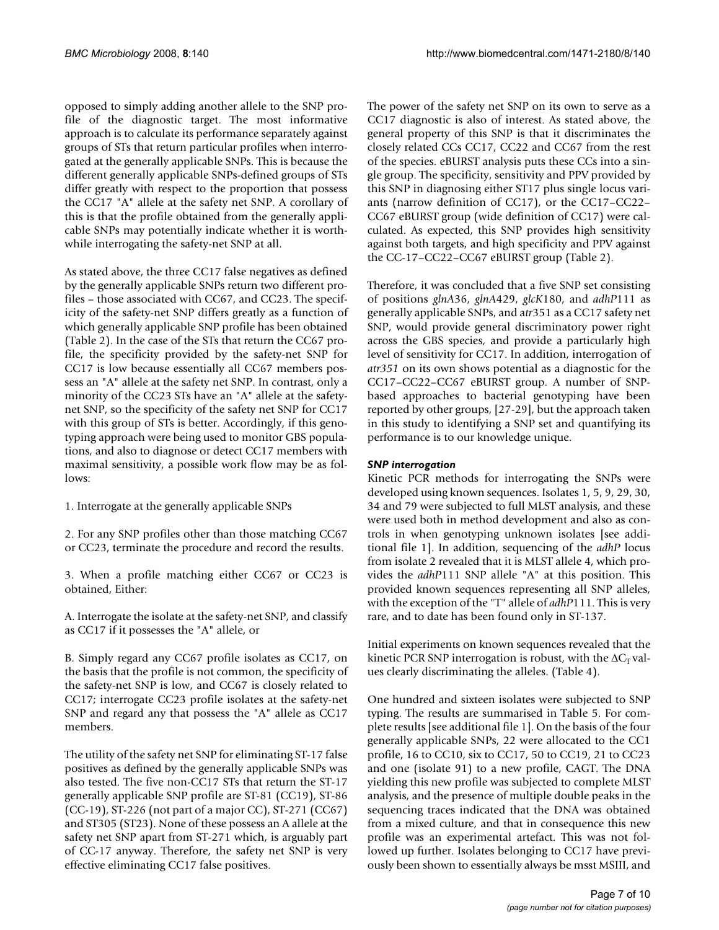opposed to simply adding another allele to the SNP profile of the diagnostic target. The most informative approach is to calculate its performance separately against groups of STs that return particular profiles when interrogated at the generally applicable SNPs. This is because the different generally applicable SNPs-defined groups of STs differ greatly with respect to the proportion that possess the CC17 "A" allele at the safety net SNP. A corollary of this is that the profile obtained from the generally applicable SNPs may potentially indicate whether it is worthwhile interrogating the safety-net SNP at all.

As stated above, the three CC17 false negatives as defined by the generally applicable SNPs return two different profiles – those associated with CC67, and CC23. The specificity of the safety-net SNP differs greatly as a function of which generally applicable SNP profile has been obtained (Table 2). In the case of the STs that return the CC67 profile, the specificity provided by the safety-net SNP for CC17 is low because essentially all CC67 members possess an "A" allele at the safety net SNP. In contrast, only a minority of the CC23 STs have an "A" allele at the safetynet SNP, so the specificity of the safety net SNP for CC17 with this group of STs is better. Accordingly, if this genotyping approach were being used to monitor GBS populations, and also to diagnose or detect CC17 members with maximal sensitivity, a possible work flow may be as follows:

1. Interrogate at the generally applicable SNPs

2. For any SNP profiles other than those matching CC67 or CC23, terminate the procedure and record the results.

3. When a profile matching either CC67 or CC23 is obtained, Either:

A. Interrogate the isolate at the safety-net SNP, and classify as CC17 if it possesses the "A" allele, or

B. Simply regard any CC67 profile isolates as CC17, on the basis that the profile is not common, the specificity of the safety-net SNP is low, and CC67 is closely related to CC17; interrogate CC23 profile isolates at the safety-net SNP and regard any that possess the "A" allele as CC17 members.

The utility of the safety net SNP for eliminating ST-17 false positives as defined by the generally applicable SNPs was also tested. The five non-CC17 STs that return the ST-17 generally applicable SNP profile are ST-81 (CC19), ST-86 (CC-19), ST-226 (not part of a major CC), ST-271 (CC67) and ST305 (ST23). None of these possess an A allele at the safety net SNP apart from ST-271 which, is arguably part of CC-17 anyway. Therefore, the safety net SNP is very effective eliminating CC17 false positives.

The power of the safety net SNP on its own to serve as a CC17 diagnostic is also of interest. As stated above, the general property of this SNP is that it discriminates the closely related CCs CC17, CC22 and CC67 from the rest of the species. eBURST analysis puts these CCs into a single group. The specificity, sensitivity and PPV provided by this SNP in diagnosing either ST17 plus single locus variants (narrow definition of CC17), or the CC17–CC22– CC67 eBURST group (wide definition of CC17) were calculated. As expected, this SNP provides high sensitivity against both targets, and high specificity and PPV against the CC-17–CC22–CC67 eBURST group (Table 2).

Therefore, it was concluded that a five SNP set consisting of positions *glnA*36, *glnA*429, *glcK*180, and *adhP*111 as generally applicable SNPs, and a*tr*351 as a CC17 safety net SNP, would provide general discriminatory power right across the GBS species, and provide a particularly high level of sensitivity for CC17. In addition, interrogation of *atr351* on its own shows potential as a diagnostic for the CC17–CC22–CC67 eBURST group. A number of SNPbased approaches to bacterial genotyping have been reported by other groups, [27-29], but the approach taken in this study to identifying a SNP set and quantifying its performance is to our knowledge unique.

## *SNP interrogation*

Kinetic PCR methods for interrogating the SNPs were developed using known sequences. Isolates 1, 5, 9, 29, 30, 34 and 79 were subjected to full MLST analysis, and these were used both in method development and also as controls in when genotyping unknown isolates [see additional file 1]. In addition, sequencing of the *adhP* locus from isolate 2 revealed that it is MLST allele 4, which provides the *adhP*111 SNP allele "A" at this position. This provided known sequences representing all SNP alleles, with the exception of the "T" allele of *adhP*111. This is very rare, and to date has been found only in ST-137.

Initial experiments on known sequences revealed that the kinetic PCR SNP interrogation is robust, with the  $\Delta C_T$  values clearly discriminating the alleles. (Table 4).

One hundred and sixteen isolates were subjected to SNP typing. The results are summarised in Table 5. For complete results [see additional file 1]. On the basis of the four generally applicable SNPs, 22 were allocated to the CC1 profile, 16 to CC10, six to CC17, 50 to CC19, 21 to CC23 and one (isolate 91) to a new profile, CAGT. The DNA yielding this new profile was subjected to complete MLST analysis, and the presence of multiple double peaks in the sequencing traces indicated that the DNA was obtained from a mixed culture, and that in consequence this new profile was an experimental artefact. This was not followed up further. Isolates belonging to CC17 have previously been shown to essentially always be msst MSIII, and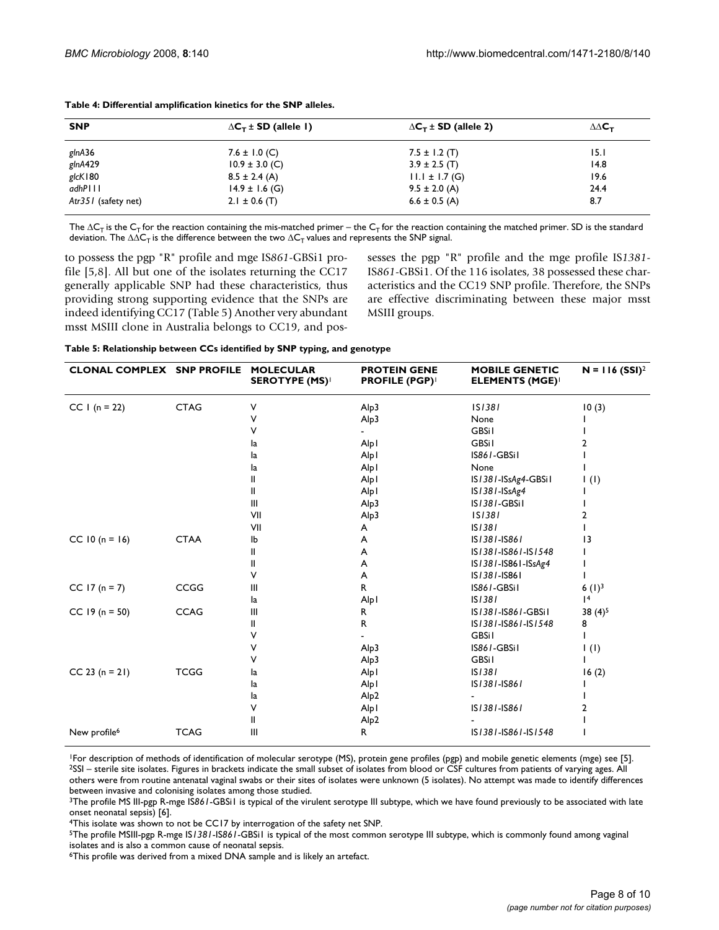| <b>SNP</b>          | $\Delta C_{\rm T}$ ± SD (allele 1) | $\Delta C_{\rm T}$ ± SD (allele 2) | $\Delta\Delta C_{\text{T}}$ |
|---------------------|------------------------------------|------------------------------------|-----------------------------|
| glnA36              | 7.6 $\pm$ 1.0 (C)                  | $7.5 \pm 1.2$ (T)                  | 15.1                        |
| glnA429             | $10.9 \pm 3.0$ (C)                 | $3.9 \pm 2.5$ (T)                  | 14.8                        |
| glcK180             | $8.5 \pm 2.4$ (A)                  | $11.1 \pm 1.7$ (G)                 | 19.6                        |
| adhPIII             | $14.9 \pm 1.6$ (G)                 | $9.5 \pm 2.0$ (A)                  | 24.4                        |
| Atr351 (safety net) | $2.1 \pm 0.6$ (T)                  | $6.6 \pm 0.5$ (A)                  | 8.7                         |

#### **Table 4: Differential amplification kinetics for the SNP alleles.**

The  $\Delta C_T$  is the  $C_T$  for the reaction containing the mis-matched primer – the  $C_T$  for the reaction containing the matched primer. SD is the standard deviation. The  $\Delta\Delta C_{T}$  is the difference between the two  $\Delta C_{T}$  values and represents the SNP signal.

to possess the pgp "R" profile and mge IS*861*-GBSi1 profile [5,8]. All but one of the isolates returning the CC17 generally applicable SNP had these characteristics, thus providing strong supporting evidence that the SNPs are indeed identifying CC17 (Table 5) Another very abundant msst MSIII clone in Australia belongs to CC19, and possesses the pgp "R" profile and the mge profile IS*1381*- IS*861*-GBSi1. Of the 116 isolates, 38 possessed these characteristics and the CC19 SNP profile. Therefore, the SNPs are effective discriminating between these major msst MSIII groups.

| Table 5: Relationship between CCs identified by SNP typing, and genotype |  |  |
|--------------------------------------------------------------------------|--|--|
|--------------------------------------------------------------------------|--|--|

| <b>CLONAL COMPLEX SNP PROFILE</b> |             | <b>MOLECULAR</b><br><b>SEROTYPE (MS)<sup>1</sup></b> | <b>PROTEIN GENE</b><br><b>PROFILE (PGP)</b> | <b>MOBILE GENETIC</b><br><b>ELEMENTS (MGE)<sup>1</sup></b> | $N = 116 (SSI)2$         |
|-----------------------------------|-------------|------------------------------------------------------|---------------------------------------------|------------------------------------------------------------|--------------------------|
| $CC I (n = 22)$                   | <b>CTAG</b> | ٧                                                    | Alp3                                        | IS1381                                                     | 10(3)                    |
|                                   |             | ٧                                                    | Alp3                                        | None                                                       |                          |
|                                   |             | ٧                                                    |                                             | <b>GBSil</b>                                               |                          |
|                                   |             | la                                                   | Alpl                                        | <b>GBSil</b>                                               |                          |
|                                   |             | la                                                   | Alpl                                        | IS861-GBSi1                                                |                          |
|                                   |             | la                                                   | Alpl                                        | None                                                       |                          |
|                                   |             | Ш                                                    | Alpl                                        | IS / 38 / - ISsAg4-GBSi I                                  | $\mathsf{I}(\mathsf{I})$ |
|                                   |             | Ш                                                    | Alpl                                        | IS1381-ISsAg4                                              |                          |
|                                   |             | Ш                                                    | Alp3                                        | IS1381-GBSi1                                               |                          |
|                                   |             | VII                                                  | Alp3                                        | <b>ISI381</b>                                              | 2                        |
|                                   |             | VII                                                  | A                                           | IS1381                                                     |                          |
| $CC 10 (n = 16)$                  | <b>CTAA</b> | Ib                                                   | A                                           | IS1381-IS861                                               | 3                        |
|                                   |             | Ш                                                    | A                                           | IS1381-IS861-IS1548                                        |                          |
|                                   |             | Ш                                                    | A                                           | IS / 38 / - IS86 I - ISsAg4                                |                          |
|                                   |             | ٧                                                    | A                                           | IS1381-IS861                                               |                          |
| $CC$ 17 (n = 7)                   | CCGG        | Ш                                                    | R.                                          | IS861-GBSi1                                                | $6(1)^3$                 |
|                                   |             | la                                                   | Alpl                                        | ISI38I                                                     | 4                        |
| CC $19 (n = 50)$                  | <b>CCAG</b> | III                                                  | R                                           | IS/38/-IS86/-GBSil                                         | 38 $(4)^5$               |
|                                   |             | Ш                                                    | R                                           | IS1381-IS861-IS1548                                        | 8                        |
|                                   |             | ٧                                                    |                                             | <b>GBSil</b>                                               |                          |
|                                   |             | ٧                                                    | Alp3                                        | IS861-GBSi1                                                | $\mathsf{I}(\mathsf{I})$ |
|                                   |             | v                                                    | Alp3                                        | GBSil                                                      |                          |
| $CC 23 (n = 21)$                  | <b>TCGG</b> | la                                                   | Alpl                                        | ISI38I                                                     | 16(2)                    |
|                                   |             | la                                                   | Alpl                                        | IS1381-IS861                                               |                          |
|                                   |             | la                                                   | Alp <sub>2</sub>                            |                                                            |                          |
|                                   |             | ٧                                                    | Alpl                                        | IS1381-IS861                                               |                          |
|                                   |             | Ш                                                    | Alp <sub>2</sub>                            |                                                            |                          |
| New profile <sup>6</sup>          | <b>TCAG</b> | Ш                                                    | R                                           | IS1381-IS861-IS1548                                        |                          |

1For description of methods of identification of molecular serotype (MS), protein gene profiles (pgp) and mobile genetic elements (mge) see [5]. 2SSI – sterile site isolates. Figures in brackets indicate the small subset of isolates from blood or CSF cultures from patients of varying ages. All others were from routine antenatal vaginal swabs or their sites of isolates were unknown (5 isolates). No attempt was made to identify differences between invasive and colonising isolates among those studied.

3The profile MS III-pgp R-mge IS*861*-GBSi1 is typical of the virulent serotype III subtype, which we have found previously to be associated with late onset neonatal sepsis) [6].

<sup>4</sup>This isolate was shown to not be CC17 by interrogation of the safety net SNP.

5The profile MSIII-pgp R-mge IS*1381*-IS*861*-GBSi1 is typical of the most common serotype III subtype, which is commonly found among vaginal isolates and is also a common cause of neonatal sepsis.

<sup>6</sup>This profile was derived from a mixed DNA sample and is likely an artefact.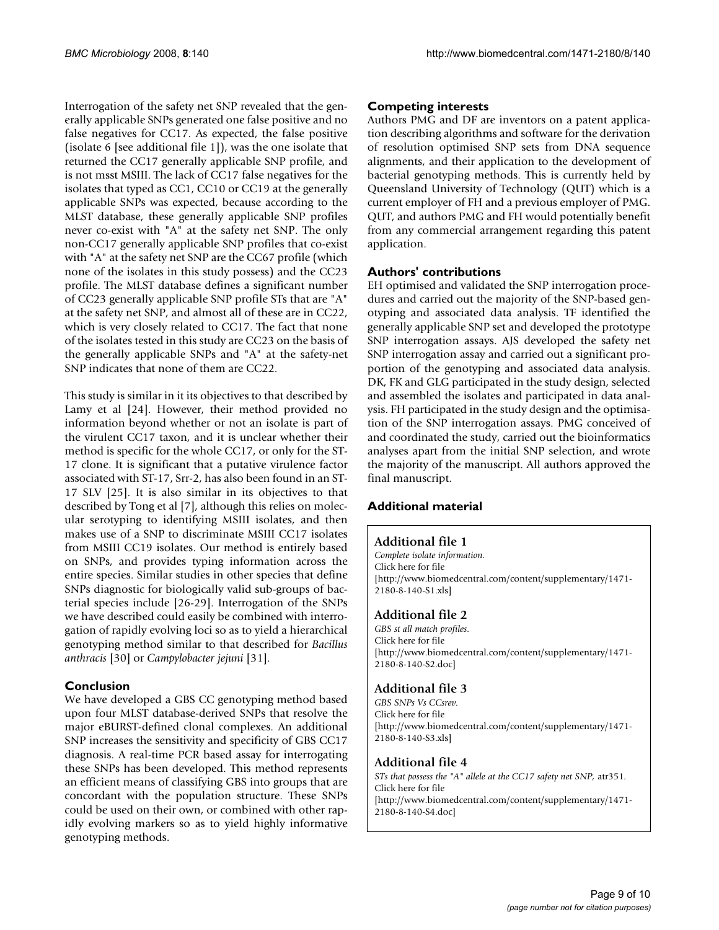Interrogation of the safety net SNP revealed that the generally applicable SNPs generated one false positive and no false negatives for CC17. As expected, the false positive (isolate 6 [see additional file 1]), was the one isolate that returned the CC17 generally applicable SNP profile, and is not msst MSIII. The lack of CC17 false negatives for the isolates that typed as CC1, CC10 or CC19 at the generally applicable SNPs was expected, because according to the MLST database, these generally applicable SNP profiles never co-exist with "A" at the safety net SNP. The only non-CC17 generally applicable SNP profiles that co-exist with "A" at the safety net SNP are the CC67 profile (which none of the isolates in this study possess) and the CC23 profile. The MLST database defines a significant number of CC23 generally applicable SNP profile STs that are "A" at the safety net SNP, and almost all of these are in CC22, which is very closely related to CC17. The fact that none of the isolates tested in this study are CC23 on the basis of the generally applicable SNPs and "A" at the safety-net SNP indicates that none of them are CC22.

This study is similar in it its objectives to that described by Lamy et al [24]. However, their method provided no information beyond whether or not an isolate is part of the virulent CC17 taxon, and it is unclear whether their method is specific for the whole CC17, or only for the ST-17 clone. It is significant that a putative virulence factor associated with ST-17, Srr-2, has also been found in an ST-17 SLV [25]. It is also similar in its objectives to that described by Tong et al [7], although this relies on molecular serotyping to identifying MSIII isolates, and then makes use of a SNP to discriminate MSIII CC17 isolates from MSIII CC19 isolates. Our method is entirely based on SNPs, and provides typing information across the entire species. Similar studies in other species that define SNPs diagnostic for biologically valid sub-groups of bacterial species include [26-29]. Interrogation of the SNPs we have described could easily be combined with interrogation of rapidly evolving loci so as to yield a hierarchical genotyping method similar to that described for *Bacillus anthracis* [30] or *Campylobacter jejuni* [31].

## **Conclusion**

We have developed a GBS CC genotyping method based upon four MLST database-derived SNPs that resolve the major eBURST-defined clonal complexes. An additional SNP increases the sensitivity and specificity of GBS CC17 diagnosis. A real-time PCR based assay for interrogating these SNPs has been developed. This method represents an efficient means of classifying GBS into groups that are concordant with the population structure. These SNPs could be used on their own, or combined with other rapidly evolving markers so as to yield highly informative genotyping methods.

## **Competing interests**

Authors PMG and DF are inventors on a patent application describing algorithms and software for the derivation of resolution optimised SNP sets from DNA sequence alignments, and their application to the development of bacterial genotyping methods. This is currently held by Queensland University of Technology (QUT) which is a current employer of FH and a previous employer of PMG. QUT, and authors PMG and FH would potentially benefit from any commercial arrangement regarding this patent application.

## **Authors' contributions**

EH optimised and validated the SNP interrogation procedures and carried out the majority of the SNP-based genotyping and associated data analysis. TF identified the generally applicable SNP set and developed the prototype SNP interrogation assays. AJS developed the safety net SNP interrogation assay and carried out a significant proportion of the genotyping and associated data analysis. DK, FK and GLG participated in the study design, selected and assembled the isolates and participated in data analysis. FH participated in the study design and the optimisation of the SNP interrogation assays. PMG conceived of and coordinated the study, carried out the bioinformatics analyses apart from the initial SNP selection, and wrote the majority of the manuscript. All authors approved the final manuscript.

## **Additional material**

#### **Additional file 1**

*Complete isolate information.* Click here for file [\[http://www.biomedcentral.com/content/supplementary/1471-](http://www.biomedcentral.com/content/supplementary/1471-2180-8-140-S1.xls) 2180-8-140-S1.xls]

## **Additional file 2**

*GBS st all match profiles.* Click here for file [\[http://www.biomedcentral.com/content/supplementary/1471-](http://www.biomedcentral.com/content/supplementary/1471-2180-8-140-S2.doc) 2180-8-140-S2.doc]

## **Additional file 3**

*GBS SNPs Vs CCsrev.* Click here for file [\[http://www.biomedcentral.com/content/supplementary/1471-](http://www.biomedcentral.com/content/supplementary/1471-2180-8-140-S3.xls) 2180-8-140-S3.xls]

## **Additional file 4**

*STs that possess the "A" allele at the CC17 safety net SNP,* atr351*.* Click here for file [\[http://www.biomedcentral.com/content/supplementary/1471-](http://www.biomedcentral.com/content/supplementary/1471-2180-8-140-S4.doc) 2180-8-140-S4.doc]